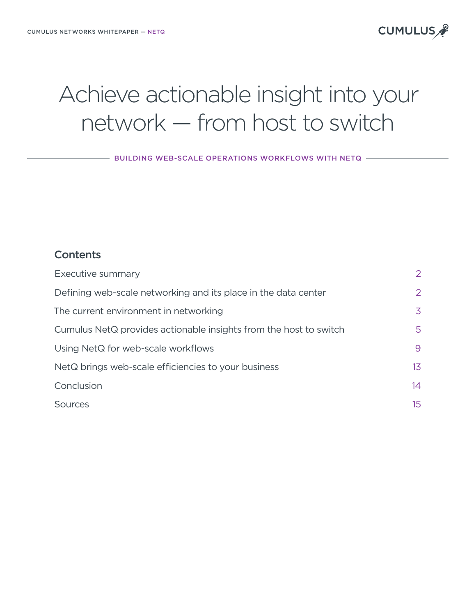# **CUMULUS**

# Achieve actionable insight into your network — from host to switch

- BUILDING WEB-SCALE OPERATIONS WORKFLOWS WITH NETQ -

## **Contents**

| Executive summary                                                 | 2                |
|-------------------------------------------------------------------|------------------|
| Defining web-scale networking and its place in the data center    | 2                |
| The current environment in networking                             | 3                |
| Cumulus NetQ provides actionable insights from the host to switch | 5                |
| Using NetQ for web-scale workflows                                | 9                |
| NetQ brings web-scale efficiencies to your business               | 13 <sup>°</sup>  |
| Conclusion                                                        | 14               |
| Sources                                                           | 15 <sup>15</sup> |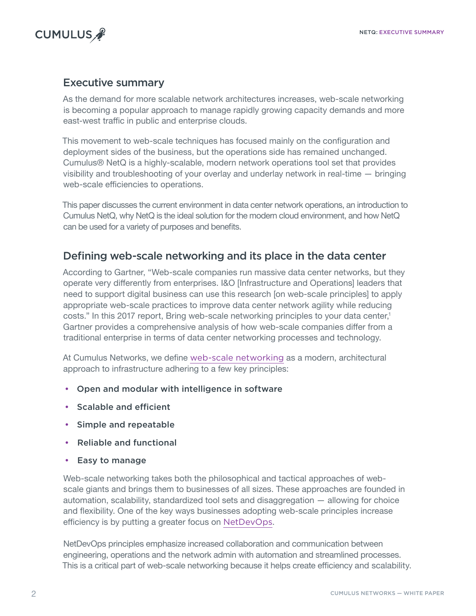<span id="page-1-0"></span>

## Executive summary

As the demand for more scalable network architectures increases, web-scale networking is becoming a popular approach to manage rapidly growing capacity demands and more east-west traffic in public and enterprise clouds.

This movement to web-scale techniques has focused mainly on the configuration and deployment sides of the business, but the operations side has remained unchanged. Cumulus® NetQ is a highly-scalable, modern network operations tool set that provides visibility and troubleshooting of your overlay and underlay network in real-time — bringing web-scale efficiencies to operations.

This paper discusses the current environment in data center network operations, an introduction to Cumulus NetQ, why NetQ is the ideal solution for the modern cloud environment, and how NetQ can be used for a variety of purposes and benefits.

# Defining web-scale networking and its place in the data center

According to Gartner, "Web-scale companies run massive data center networks, but they operate very differently from enterprises. I&O [Infrastructure and Operations] leaders that need to support digital business can use this research [on web-scale principles] to apply appropriate web-scale practices to improve data center network agility while reducing costs." In this 2017 report, Bring web-scale networking principles to your data center,<sup>1</sup> Gartner provides a comprehensive analysis of how web-scale companies differ from a traditional enterprise in terms of data center networking processes and technology.

At Cumulus Networks, we define [web-scale networking](https://cumulusnetworks.com/learn/web-scale-networking-education/) as a modern, architectural approach to infrastructure adhering to a few key principles:

- Open and modular with intelligence in software
- Scalable and efficient
- Simple and repeatable
- Reliable and functional
- Easy to manage

Web-scale networking takes both the philosophical and tactical approaches of webscale giants and brings them to businesses of all sizes. These approaches are founded in automation, scalability, standardized tool sets and disaggregation — allowing for choice and flexibility. One of the key ways businesses adopting web-scale principles increase efficiency is by putting a greater focus on [NetDevOps](https://cumulusnetworks.com/blog/netdevops-networking-methods-with-a-devops-mindset/).

NetDevOps principles emphasize increased collaboration and communication between engineering, operations and the network admin with automation and streamlined processes. This is a critical part of web-scale networking because it helps create efficiency and scalability.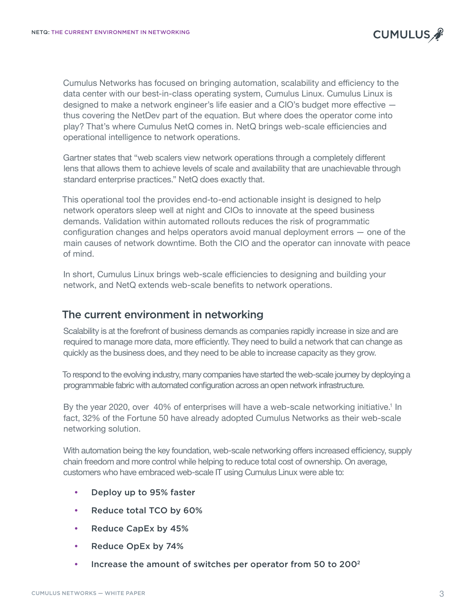<span id="page-2-0"></span>Cumulus Networks has focused on bringing automation, scalability and efficiency to the data center with our best-in-class operating system, Cumulus Linux. Cumulus Linux is designed to make a network engineer's life easier and a CIO's budget more effective thus covering the NetDev part of the equation. But where does the operator come into play? That's where Cumulus NetQ comes in. NetQ brings web-scale efficiencies and operational intelligence to network operations.

Gartner states that "web scalers view network operations through a completely different lens that allows them to achieve levels of scale and availability that are unachievable through standard enterprise practices." NetQ does exactly that.

This operational tool the provides end-to-end actionable insight is designed to help network operators sleep well at night and CIOs to innovate at the speed business demands. Validation within automated rollouts reduces the risk of programmatic configuration changes and helps operators avoid manual deployment errors — one of the main causes of network downtime. Both the CIO and the operator can innovate with peace of mind.

In short, Cumulus Linux brings web-scale efficiencies to designing and building your network, and NetQ extends web-scale benefits to network operations.

# The current environment in networking

Scalability is at the forefront of business demands as companies rapidly increase in size and are required to manage more data, more efficiently. They need to build a network that can change as quickly as the business does, and they need to be able to increase capacity as they grow.

To respond to the evolving industry, many companies have started the web-scale journey by deploying a programmable fabric with automated configuration across an open network infrastructure.

By the year 2020, over 40% of enterprises will have a web-scale networking initiative.<sup>1</sup> In fact, 32% of the Fortune 50 have already adopted Cumulus Networks as their web-scale networking solution.

With automation being the key foundation, web-scale networking offers increased efficiency, supply chain freedom and more control while helping to reduce total cost of ownership. On average, customers who have embraced web-scale IT using Cumulus Linux were able to:

- Deploy up to 95% faster
- Reduce total TCO by 60%
- Reduce CapEx by 45%
- Reduce OpEx by 74%
- Increase the amount of switches per operator from 50 to 2002

**CUMULUS**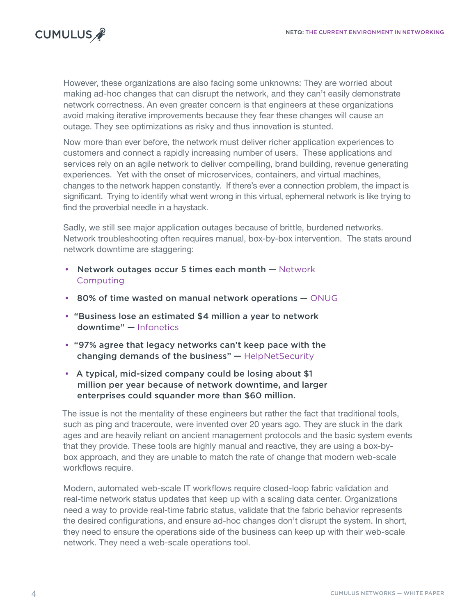

However, these organizations are also facing some unknowns: They are worried about making ad-hoc changes that can disrupt the network, and they can't easily demonstrate network correctness. An even greater concern is that engineers at these organizations avoid making iterative improvements because they fear these changes will cause an outage. They see optimizations as risky and thus innovation is stunted.

Now more than ever before, the network must deliver richer application experiences to customers and connect a rapidly increasing number of users. These applications and services rely on an agile network to deliver compelling, brand building, revenue generating experiences. Yet with the onset of microservices, containers, and virtual machines, changes to the network happen constantly. If there's ever a connection problem, the impact is significant. Trying to identify what went wrong in this virtual, ephemeral network is like trying to find the proverbial needle in a haystack.

Sadly, we still see major application outages because of brittle, burdened networks. Network troubleshooting often requires manual, box-by-box intervention. The stats around network downtime are staggering:

- Network outages occur 5 times each month [Network](https://www.networkworld.com/article/3142838/infrastructure/top-reasons-for-network-downtime.html)  [Computing](https://www.networkworld.com/article/3142838/infrastructure/top-reasons-for-network-downtime.html)
- 80% of time wasted on manual network operations [ONUG](http://blog.apstra.com/eliminate-the-effective-manual-tax-rate)
- "Business lose an estimated \$4 million a year to network downtime" — [Infonetics](http://www.marketwired.com/press-release/infonetics-technology-and-network-downtime-costing-businesses-4-million-a-year-1987946.htm)
- "97% agree that legacy networks can't keep pace with the changing demands of the business" — [HelpNetSecurity](https://www.helpnetsecurity.com/2017/09/21/holding-back-digital-transformation/)
- A typical, mid-sized company could be losing about \$1 million per year because of network downtime, and larger enterprise[s could squander more than \\$60 million](https://sociable.co/business/downtime-blues-what-unexpected-tech-interruptions-cost-businesses/).

The issue is not the mentality of these engineers but rather the fact that traditional tools, such as ping and traceroute, were invented over 20 years ago. They are stuck in the dark ages and are heavily reliant on ancient management protocols and the basic system events that they provide. These tools are highly manual and reactive, they are using a box-bybox approach, and they are unable to match the rate of change that modern web-scale workflows require.

Modern, automated web-scale IT workflows require closed-loop fabric validation and real-time network status updates that keep up with a scaling data center. Organizations need a way to provide real-time fabric status, validate that the fabric behavior represents the desired configurations, and ensure ad-hoc changes don't disrupt the system. In short, they need to ensure the operations side of the business can keep up with their web-scale network. They need a web-scale operations tool.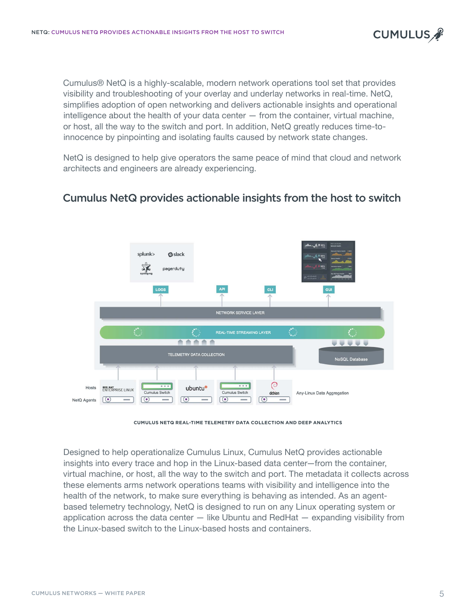<span id="page-4-0"></span>Cumulus® NetQ is a highly-scalable, modern network operations tool set that provides visibility and troubleshooting of your overlay and underlay networks in real-time. NetQ, simplifies adoption of open networking and delivers actionable insights and operational intelligence about the health of your data center — from the container, virtual machine, or host, all the way to the switch and port. In addition, NetQ greatly reduces time-toinnocence by pinpointing and isolating faults caused by network state changes.

NetQ is designed to help give operators the same peace of mind that cloud and network architects and engineers are already experiencing.

## Cumulus NetQ provides actionable insights from the host to switch



**CUMULUS NETQ REAL-TIME TELEMETRY DATA COLLECTION AND DEEP ANALYTICS**

Designed to help operationalize Cumulus Linux, Cumulus NetQ provides actionable insights into every trace and hop in the Linux-based data center—from the container, virtual machine, or host, all the way to the switch and port. The metadata it collects across these elements arms network operations teams with visibility and intelligence into the health of the network, to make sure everything is behaving as intended. As an agentbased telemetry technology, NetQ is designed to run on any Linux operating system or application across the data center — like Ubuntu and RedHat — expanding visibility from the Linux-based switch to the Linux-based hosts and containers.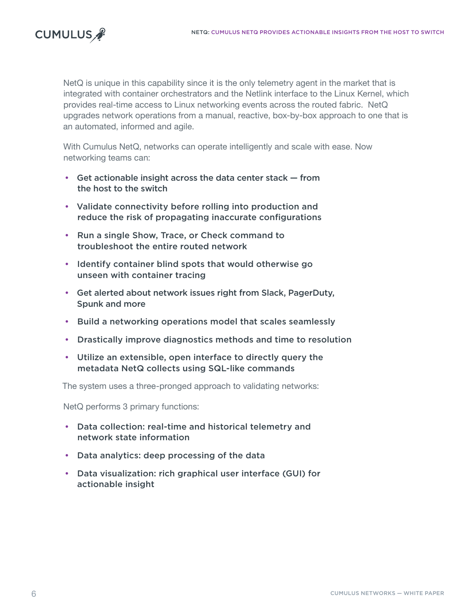

NetQ is unique in this capability since it is the only telemetry agent in the market that is integrated with container orchestrators and the Netlink interface to the Linux Kernel, which provides real-time access to Linux networking events across the routed fabric. NetQ upgrades network operations from a manual, reactive, box-by-box approach to one that is an automated, informed and agile.

With Cumulus NetQ, networks can operate intelligently and scale with ease. Now networking teams can:

- Get actionable insight across the data center stack from the host to the switch
- Validate connectivity before rolling into production and reduce the risk of propagating inaccurate configurations
- Run a single Show, Trace, or Check command to troubleshoot the entire routed network
- Identify container blind spots that would otherwise go unseen with container tracing
- Get alerted about network issues right from Slack, PagerDuty, Spunk and more
- Build a networking operations model that scales seamlessly
- Drastically improve diagnostics methods and time to resolution
- Utilize an extensible, open interface to directly query the metadata NetQ collects using SQL-like commands

The system uses a three-pronged approach to validating networks:

NetQ performs 3 primary functions:

- Data collection: real-time and historical telemetry and network state information
- Data analytics: deep processing of the data
- Data visualization: rich graphical user interface (GUI) for actionable insight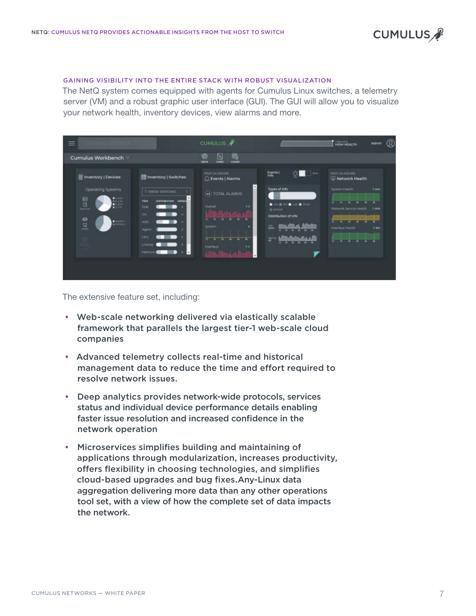

#### GAINING VISIBILITY INTO THE ENTIRE STACK WITH ROBUST VISUALIZATION

The NetQ system comes equipped with agents for Cumulus Linux switches, a telemetry server (VM) and a robust graphic user interface (GUI). The GUI will allow you to visualize your network health, inventory devices, view alarms and more.

| $\equiv$                                                                                                                                                                                                                                                                                                                                                                                                                                                                |                                                                                                    | CUMULUS &                                                        |                                                                                         | <b>HIGH HEALTH</b><br>@<br>Admin                                                        |
|-------------------------------------------------------------------------------------------------------------------------------------------------------------------------------------------------------------------------------------------------------------------------------------------------------------------------------------------------------------------------------------------------------------------------------------------------------------------------|----------------------------------------------------------------------------------------------------|------------------------------------------------------------------|-----------------------------------------------------------------------------------------|-----------------------------------------------------------------------------------------|
| Cumulus Workbench                                                                                                                                                                                                                                                                                                                                                                                                                                                       |                                                                                                    | 暍<br>ø<br>ø<br><b>GLEAR</b><br>take<br><b>DECK</b>               |                                                                                         |                                                                                         |
| Thwentory   Devices<br>Operating Systems                                                                                                                                                                                                                                                                                                                                                                                                                                | <b>III</b> Inventory   Switches<br>FRESH SWITCHES                                                  | <b>PAST 24 HOURS</b><br>Events   Alarms<br>ń<br>(4) TOTAL ALARMS | Events  <br>drive<br>e<br>Types of info                                                 | <b>PAST 24 HOURS</b><br>Network Health<br>Tystem Finanti<br><b>T-Sells</b>              |
| $\begin{array}{c} 0.011 \\ 0.011 \\ 0.011 \\ 0.011 \\ 0.011 \end{array}$<br>$\begin{tabular}{ c c } \hline \rule{.8cm}{.4cm} \rule{.8cm}{.4cm} \rule{.8cm}{.4cm} \rule{.8cm}{.4cm} \rule{.8cm}{.4cm} \rule{.8cm}{.4cm} \rule{.8cm}{.4cm} \rule{.8cm}{.4cm} \rule{.8cm}{.4cm} \rule{.8cm}{.4cm} \rule{.8cm}{.4cm} \rule{.8cm}{.4cm} \rule{.8cm}{.4cm} \rule{.8cm}{.4cm} \rule{.8cm}{.4cm} \rule{.8cm}{.4cm} \rule{.8cm}{.4cm} \rule{.8cm}{.4cm} \rule{.8cm}{$<br>自立<br>œ | <b>FEM</b><br><b>DISTRIBUTION</b><br><b>UNION</b><br>Disk<br>os:<br>ASK<br>Agent<br>cm)<br>License | Detail<br>$\mathbf{r}$<br>Sydem.<br>÷<br>thierline<br>$+4$       | <b>R</b> Units<br>п<br><b>III</b> services<br>Distribution of Info<br>E.<br><b>Nett</b> | ۰<br>Network Service Health<br>7.40%<br>×<br><b>Triarface froath</b><br><b>TEN</b><br>и |
|                                                                                                                                                                                                                                                                                                                                                                                                                                                                         | Plumber                                                                                            |                                                                  |                                                                                         |                                                                                         |

The extensive feature set, including:

- Web-scale networking delivered via elastically scalable framework that parallels the largest tier-1 web-scale cloud companies
- Advanced telemetry collects real-time and historical management data to reduce the time and effort required to resolve network issues.
- Deep analytics provides network-wide protocols, services status and individual device performance details enabling faster issue resolution and increased confidence in the network operation
- Microservices simplifies building and maintaining of applications through modularization, increases productivity, offers flexibility in choosing technologies, and simplifies cloud-based upgrades and bug fixes.Any-Linux data aggregation delivering more data than any other operations tool set, with a view of how the complete set of data impacts the network.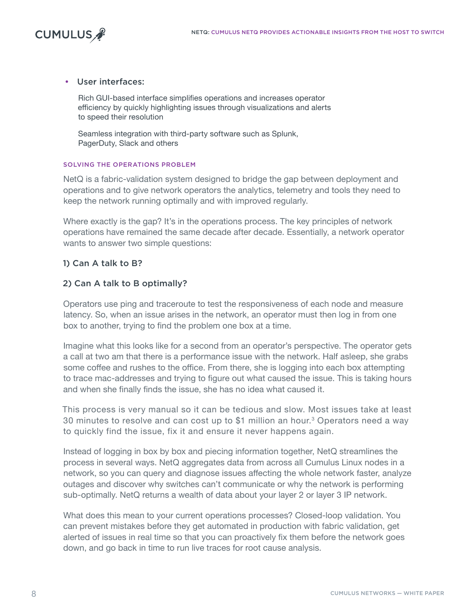

## • User interfaces:

Rich GUI-based interface simplifies operations and increases operator efficiency by quickly highlighting issues through visualizations and alerts to speed their resolution

Seamless integration with third-party software such as Splunk, PagerDuty, Slack and others

#### SOLVING THE OPERATIONS PROBLEM

NetQ is a fabric-validation system designed to bridge the gap between deployment and operations and to give network operators the analytics, telemetry and tools they need to keep the network running optimally and with improved regularly.

Where exactly is the gap? It's in the operations process. The key principles of network operations have remained the same decade after decade. Essentially, a network operator wants to answer two simple questions:

## 1) Can A talk to B?

## 2) Can A talk to B optimally?

Operators use ping and traceroute to test the responsiveness of each node and measure latency. So, when an issue arises in the network, an operator must then log in from one box to another, trying to find the problem one box at a time.

Imagine what this looks like for a second from an operator's perspective. The operator gets a call at two am that there is a performance issue with the network. Half asleep, she grabs some coffee and rushes to the office. From there, she is logging into each box attempting to trace mac-addresses and trying to figure out what caused the issue. This is taking hours and when she finally finds the issue, she has no idea what caused it.

This process is very manual so it can be tedious and slow. Most issues take at least 30 minutes to resolve and can cost up to \$1 million an hour.<sup>3</sup> Operators need a way to quickly find the issue, fix it and ensure it never happens again.

Instead of logging in box by box and piecing information together, NetQ streamlines the process in several ways. NetQ aggregates data from across all Cumulus Linux nodes in a network, so you can query and diagnose issues affecting the whole network faster, analyze outages and discover why switches can't communicate or why the network is performing sub-optimally. NetQ returns a wealth of data about your layer 2 or layer 3 IP network.

What does this mean to your current operations processes? Closed-loop validation. You can prevent mistakes before they get automated in production with fabric validation, get alerted of issues in real time so that you can proactively fix them before the network goes down, and go back in time to run live traces for root cause analysis.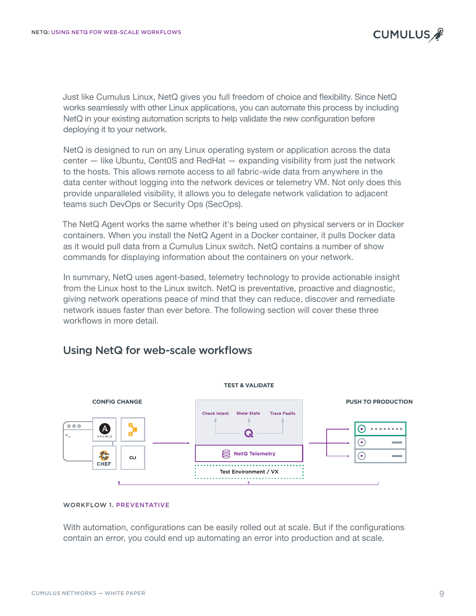<span id="page-8-0"></span>Just like Cumulus Linux, NetQ gives you full freedom of choice and flexibility. Since NetQ works seamlessly with other Linux applications, you can automate this process by including NetQ in your existing automation scripts to help validate the new configuration before deploying it to your network.

NetQ is designed to run on any Linux operating system or application across the data center — like Ubuntu, Cent0S and RedHat — expanding visibility from just the network to the hosts. This allows remote access to all fabric-wide data from anywhere in the data center without logging into the network devices or telemetry VM. Not only does this provide unparalleled visibility, it allows you to delegate network validation to adjacent teams such DevOps or Security Ops (SecOps).

The NetQ Agent works the same whether it's being used on physical servers or in Docker containers. When you install the NetQ Agent in a Docker container, it pulls Docker data as it would pull data from a Cumulus Linux switch. NetQ contains a number of show commands for displaying information about the containers on your network.

In summary, NetQ uses agent-based, telemetry technology to provide actionable insight from the Linux host to the Linux switch. NetQ is preventative, proactive and diagnostic, giving network operations peace of mind that they can reduce, discover and remediate network issues faster than ever before. The following section will cover these three workflows in more detail.



# Using NetQ for web-scale workflows

#### WORKFLOW 1. PREVENTATIVE

With automation, configurations can be easily rolled out at scale. But if the configurations contain an error, you could end up automating an error into production and at scale.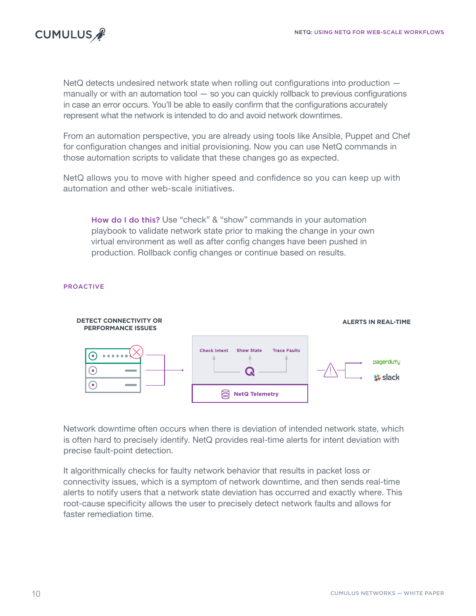

NetQ detects undesired network state when rolling out configurations into production – manually or with an automation tool — so you can quickly rollback to previous configurations in case an error occurs. You'll be able to easily confirm that the configurations accurately represent what the network is intended to do and avoid network downtimes.

From an automation perspective, you are already using tools like Ansible, Puppet and Chef for configuration changes and initial provisioning. Now you can use NetQ commands in those automation scripts to validate that these changes go as expected.

NetQ allows you to move with higher speed and confidence so you can keep up with automation and other web-scale initiatives.

How do I do this? Use "check" & "show" commands in your automation playbook to validate network state prior to making the change in your own virtual environment as well as after config changes have been pushed in production. Rollback config changes or continue based on results.

### PROACTIVE



Network downtime often occurs when there is deviation of intended network state, which is often hard to precisely identify. NetQ provides real-time alerts for intent deviation with precise fault-point detection.

It algorithmically checks for faulty network behavior that results in packet loss or connectivity issues, which is a symptom of network downtime, and then sends real-time alerts to notify users that a network state deviation has occurred and exactly where. This root-cause specificity allows the user to precisely detect network faults and allows for faster remediation time.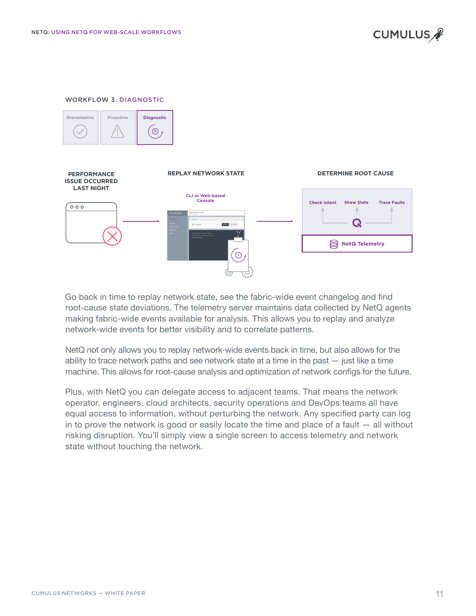

#### WORKFLOW 3. DIAGNOSTIC





Go back in time to replay network state, see the fabric-wide event changelog and find root-cause state deviations. The telemetry server maintains data collected by NetQ agents making fabric-wide events available for analysis. This allows you to replay and analyze network-wide events for better visibility and to correlate patterns.

NetQ not only allows you to replay network-wide events back in time, but also allows for the ability to trace network paths and see network state at a time in the past — just like a time machine. This allows for root-cause analysis and optimization of network configs for the future.

Plus, with NetQ you can delegate access to adjacent teams. That means the network operator, engineers, cloud architects, security operations and DevOps teams all have equal access to information, without perturbing the network. Any specified party can log in to prove the network is good or easily locate the time and place of a fault  $-$  all without risking disruption. You'll simply view a single screen to access telemetry and network state without touching the network.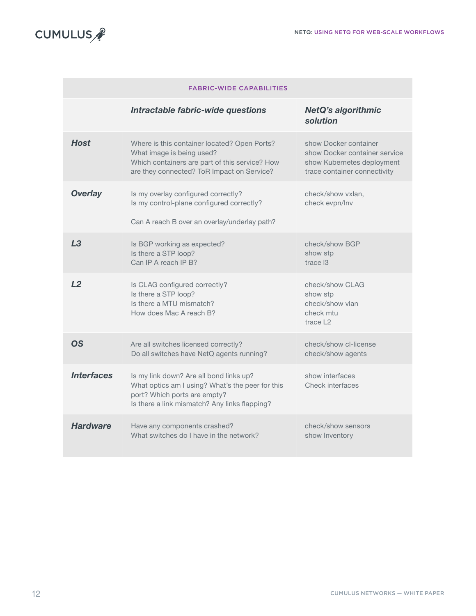

| <b>FABRIC-WIDE CAPABILITIES</b> |                                                                                                                                                                              |                                                                                                                      |  |  |
|---------------------------------|------------------------------------------------------------------------------------------------------------------------------------------------------------------------------|----------------------------------------------------------------------------------------------------------------------|--|--|
|                                 | Intractable fabric-wide questions                                                                                                                                            | <b>NetQ's algorithmic</b><br>solution                                                                                |  |  |
| <b>Host</b>                     | Where is this container located? Open Ports?<br>What image is being used?<br>Which containers are part of this service? How<br>are they connected? ToR Impact on Service?    | show Docker container<br>show Docker container service<br>show Kubernetes deployment<br>trace container connectivity |  |  |
| <b>Overlay</b>                  | Is my overlay configured correctly?<br>Is my control-plane configured correctly?<br>Can A reach B over an overlay/underlay path?                                             | check/show vxlan,<br>check evpn/lnv                                                                                  |  |  |
| L3                              | Is BGP working as expected?<br>Is there a STP loop?<br>Can IP A reach IP B?                                                                                                  | check/show BGP<br>show stp<br>trace I3                                                                               |  |  |
| L <sub>2</sub>                  | Is CLAG configured correctly?<br>Is there a STP loop?<br>Is there a MTU mismatch?<br>How does Mac A reach B?                                                                 | check/show CLAG<br>show stp<br>check/show vlan<br>check mtu<br>trace $\sqrt{2}$                                      |  |  |
| <b>OS</b>                       | Are all switches licensed correctly?<br>Do all switches have NetQ agents running?                                                                                            | check/show cl-license<br>check/show agents                                                                           |  |  |
| <b>Interfaces</b>               | Is my link down? Are all bond links up?<br>What optics am I using? What's the peer for this<br>port? Which ports are empty?<br>Is there a link mismatch? Any links flapping? | show interfaces<br>Check interfaces                                                                                  |  |  |
| <b>Hardware</b>                 | Have any components crashed?<br>What switches do I have in the network?                                                                                                      | check/show sensors<br>show Inventory                                                                                 |  |  |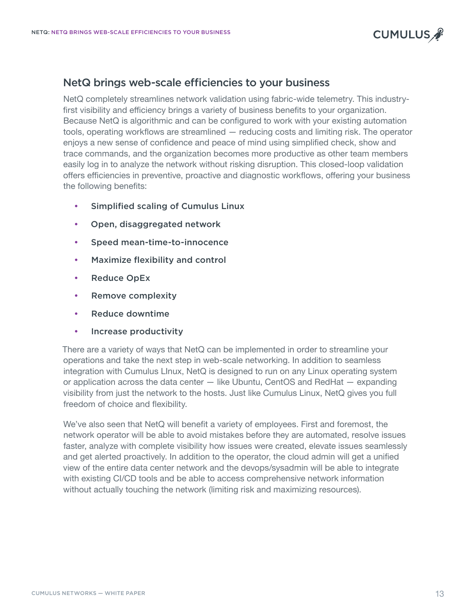

## <span id="page-12-0"></span>NetQ brings web-scale efficiencies to your business

NetQ completely streamlines network validation using fabric-wide telemetry. This industryfirst visibility and efficiency brings a variety of business benefits to your organization. Because NetQ is algorithmic and can be configured to work with your existing automation tools, operating workflows are streamlined — reducing costs and limiting risk. The operator enjoys a new sense of confidence and peace of mind using simplified check, show and trace commands, and the organization becomes more productive as other team members easily log in to analyze the network without risking disruption. This closed-loop validation offers efficiencies in preventive, proactive and diagnostic workflows, offering your business the following benefits:

- Simplified scaling of Cumulus Linux
- Open, disaggregated network
- Speed mean-time-to-innocence
- Maximize flexibility and control
- Reduce OpEx
- Remove complexity
- Reduce downtime
- Increase productivity

There are a variety of ways that NetQ can be implemented in order to streamline your operations and take the next step in web-scale networking. In addition to seamless integration with Cumulus LInux, NetQ is designed to run on any Linux operating system or application across the data center — like Ubuntu, CentOS and RedHat — expanding visibility from just the network to the hosts. Just like Cumulus Linux, NetQ gives you full freedom of choice and flexibility.

We've also seen that NetQ will benefit a variety of employees. First and foremost, the network operator will be able to avoid mistakes before they are automated, resolve issues faster, analyze with complete visibility how issues were created, elevate issues seamlessly and get alerted proactively. In addition to the operator, the cloud admin will get a unified view of the entire data center network and the devops/sysadmin will be able to integrate with existing CI/CD tools and be able to access comprehensive network information without actually touching the network (limiting risk and maximizing resources).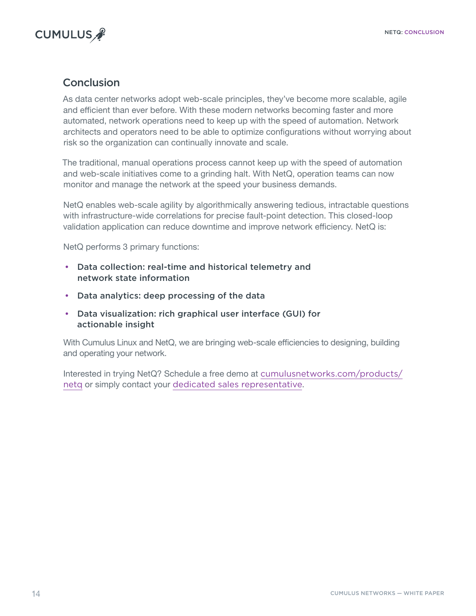<span id="page-13-0"></span>

# **Conclusion**

As data center networks adopt web-scale principles, they've become more scalable, agile and efficient than ever before. With these modern networks becoming faster and more automated, network operations need to keep up with the speed of automation. Network architects and operators need to be able to optimize configurations without worrying about risk so the organization can continually innovate and scale.

The traditional, manual operations process cannot keep up with the speed of automation and web-scale initiatives come to a grinding halt. With NetQ, operation teams can now monitor and manage the network at the speed your business demands.

NetQ enables web-scale agility by algorithmically answering tedious, intractable questions with infrastructure-wide correlations for precise fault-point detection. This closed-loop validation application can reduce downtime and improve network efficiency. NetQ is:

NetQ performs 3 primary functions:

- Data collection: real-time and historical telemetry and network state information
- Data analytics: deep processing of the data
- Data visualization: rich graphical user interface (GUI) for actionable insight

With Cumulus Linux and NetQ, we are bringing web-scale efficiencies to designing, building and operating your network.

Interested in trying NetQ? Schedule a free demo at [cumulusnetworks.com/products/](http://cumulusnetworks.com/products/netq) [netq](http://cumulusnetworks.com/products/netq) or simply contact your [dedicated sales representative](mailto:sales@cumulusnetworks.com).